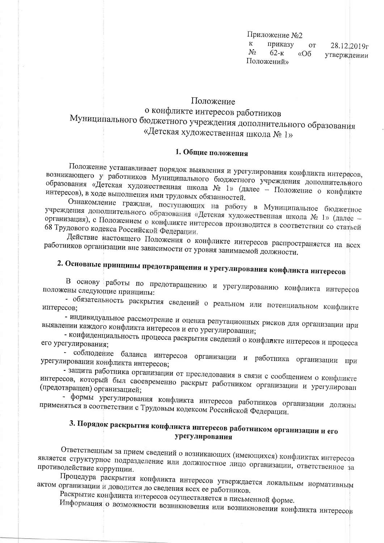Приложение №2  $K$ приказу **OT**  $28.12,2019<sub>\Gamma</sub>$  $N<sub>0</sub>$  $62 - K$  $\kappa$ Oб утверждении Положений»

Положение

о конфликте интересов работников Муниципального бюджетного учреждения дополнительного образования «Детская художественная школа № 1»

#### 1. Общие положения

Положение устанавливает порядок выявления и урегулирования конфликта интересов, возникающего у работников Муниципального бюджетного учреждения дополнительного образования «Детская художественная школа № 1» (далее - Положение о конфликте интересов), в ходе выполнения ими трудовых обязанностей.

Ознакомление граждан, поступающих на работу в Муниципальное бюджетное учреждения дополнительного образования «Детская художественная школа № 1» (далее организация), с Положением о конфликте интересов производится в соответствии со статьей 68 Трудового кодекса Российской Федерации.

Действие настоящего Положения о конфликте интересов распространяется на всех работников организации вне зависимости от уровня занимаемой должности.

# 2. Основные принципы предотвращения и урегулирования конфликта интересов

В основу работы по предотвращению и урегулированию конфликта интересов положены следующие принципы:

- обязательность раскрытия сведений о реальном или потенциальном конфликте интересов:

- индивидуальное рассмотрение и оценка репутационных рисков для организации при выявлении каждого конфликта интересов и его урегулировании;

- конфиденциальность процесса раскрытия сведений о конфликте интересов и процесса его урегулирования;

- соблюдение баланса интересов организации и работника организации при урегулировании конфликта интересов;

- защита работника организации от преследования в связи с сообщением о конфликте интересов, который был своевременно раскрыт работником организации и урегулирован (предотвращен) организацией;

- формы урегулирования конфликта интересов работников организации должны применяться в соответствии с Трудовым кодексом Российской Федерации.

### 3. Порядок раскрытия конфликта интересов работником организации и его урегулирования

Ответственным за прием сведений о возникающих (имеющихся) конфликтах интересов является структурное подразделение или должностное лицо организации, ответственное за противодействие коррупции.

Процедура раскрытия конфликта интересов утверждается локальным нормативным актом организации и доводится до сведения всех ее работников.

Раскрытие конфликта интересов осуществляется в письменной форме.

Информация о возможности возникновения или возникновении конфликта интересов